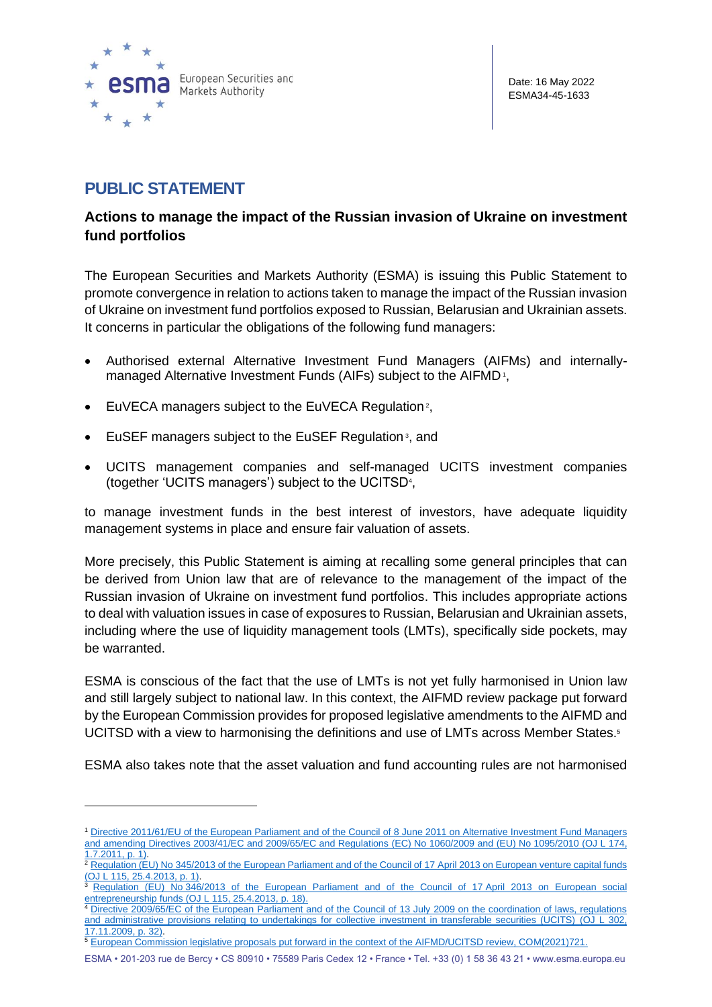

# **PUBLIC STATEMENT**

## **Actions to manage the impact of the Russian invasion of Ukraine on investment fund portfolios**

The European Securities and Markets Authority (ESMA) is issuing this Public Statement to promote convergence in relation to actions taken to manage the impact of the Russian invasion of Ukraine on investment fund portfolios exposed to Russian, Belarusian and Ukrainian assets. It concerns in particular the obligations of the following fund managers:

- Authorised external Alternative Investment Fund Managers (AIFMs) and internallymanaged Alternative Investment Funds (AIFs) subject to the AIFMD<sup>1</sup>,
- EuVECA managers subject to the EuVECA Regulation<sup>2</sup>,
- EuSEF managers subject to the EuSEF Regulation<sup>3</sup>, and
- UCITS management companies and self-managed UCITS investment companies (together 'UCITS managers') subject to the UCITSD<sup>4</sup> ,

to manage investment funds in the best interest of investors, have adequate liquidity management systems in place and ensure fair valuation of assets.

More precisely, this Public Statement is aiming at recalling some general principles that can be derived from Union law that are of relevance to the management of the impact of the Russian invasion of Ukraine on investment fund portfolios. This includes appropriate actions to deal with valuation issues in case of exposures to Russian, Belarusian and Ukrainian assets, including where the use of liquidity management tools (LMTs), specifically side pockets, may be warranted.

ESMA is conscious of the fact that the use of LMTs is not yet fully harmonised in Union law and still largely subject to national law. In this context, the AIFMD review package put forward by the European Commission provides for proposed legislative amendments to the AIFMD and UCITSD with a view to harmonising the definitions and use of LMTs across Member States.<sup>5</sup>

ESMA also takes note that the asset valuation and fund accounting rules are not harmonised

<sup>1</sup> [Directive 2011/61/EU of the European Parliament and of the Council of 8](https://eur-lex.europa.eu/legal-content/EN/TXT/?uri=uriserv:OJ.L_.2011.174.01.0001.01.ENG&toc=OJ:L:2011:174:TOC) June 2011 on Alternative Investment Fund Managers [and amending Directives 2003/41/EC and 2009/65/EC and Regulations \(EC\) No](https://eur-lex.europa.eu/legal-content/EN/TXT/?uri=uriserv:OJ.L_.2011.174.01.0001.01.ENG&toc=OJ:L:2011:174:TOC) 1060/2009 and (EU) No 1095/2010 (OJ L 174, 1.7.2011, p. 1).

<sup>&</sup>lt;sup>2</sup> Regulation (EU) No 345/2013 of the [European Parliament and of the Council of 17](https://eur-lex.europa.eu/legal-content/EN/TXT/?uri=CELEX:02013R0345-20180301) April 2013 on European venture capital funds (OJ L 115, 25.4.2013, p. 1).

<sup>3</sup> Regulation (EU) No [346/2013 of the European Parliament and of the Council of 17](https://eur-lex.europa.eu/legal-content/EN/TXT/?uri=CELEX:02013R0346-20180301) April 2013 on European social [entrepreneurship funds](https://eur-lex.europa.eu/legal-content/EN/TXT/?uri=CELEX:02013R0346-20180301) (OJ L 115, 25.4.2013, p. 18).

<sup>4</sup> [Directive 2009/65/EC of the European Parliament and of the Council of 13 July 2009 on the coordination of laws, regulations](https://eur-lex.europa.eu/legal-content/EN/TXT/?uri=CELEX:02009L0065-20200107)  [and administrative provisions relating to undertakings for collective investment in transferable securities \(UCITS\)](https://eur-lex.europa.eu/legal-content/EN/TXT/?uri=CELEX:02009L0065-20200107) (OJ L 302, 17.11.2009, p. 32).

<sup>&</sup>lt;sup>5</sup> [European Commission legislative proposals put forward in the context of the AIFMD/UCITSD review, COM\(2021\)721.](https://ec.europa.eu/info/law/better-regulation/have-your-say/initiatives/12648-Financial-services-review-of-EU-rules-on-alternative-investment-fund-managers_en)

ESMA • 201-203 rue de Bercy • CS 80910 • 75589 Paris Cedex 12 • France • Tel. +33 (0) 1 58 36 43 21 • www.esma.europa.eu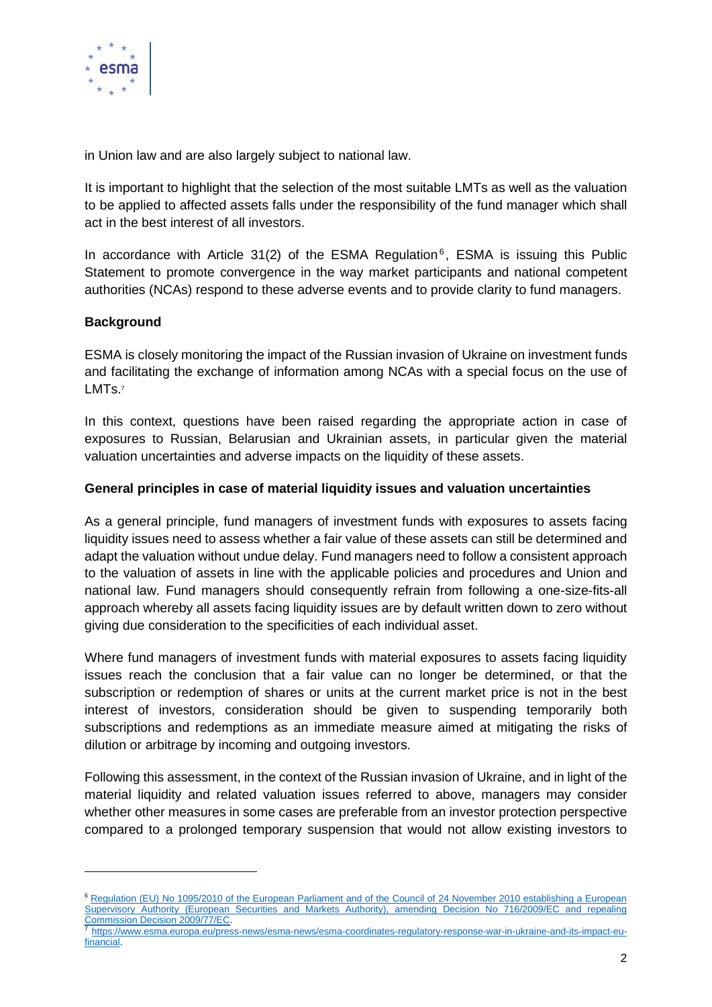

in Union law and are also largely subject to national law.

It is important to highlight that the selection of the most suitable LMTs as well as the valuation to be applied to affected assets falls under the responsibility of the fund manager which shall act in the best interest of all investors.

In accordance with Article 31(2) of the ESMA Regulation<sup>6</sup>, ESMA is issuing this Public Statement to promote convergence in the way market participants and national competent authorities (NCAs) respond to these adverse events and to provide clarity to fund managers.

#### **Background**

ESMA is closely monitoring the impact of the Russian invasion of Ukraine on investment funds and facilitating the exchange of information among NCAs with a special focus on the use of LMT<sub>S.7</sub>

In this context, questions have been raised regarding the appropriate action in case of exposures to Russian, Belarusian and Ukrainian assets, in particular given the material valuation uncertainties and adverse impacts on the liquidity of these assets.

#### **General principles in case of material liquidity issues and valuation uncertainties**

As a general principle, fund managers of investment funds with exposures to assets facing liquidity issues need to assess whether a fair value of these assets can still be determined and adapt the valuation without undue delay. Fund managers need to follow a consistent approach to the valuation of assets in line with the applicable policies and procedures and Union and national law. Fund managers should consequently refrain from following a one-size-fits-all approach whereby all assets facing liquidity issues are by default written down to zero without giving due consideration to the specificities of each individual asset.

Where fund managers of investment funds with material exposures to assets facing liquidity issues reach the conclusion that a fair value can no longer be determined, or that the subscription or redemption of shares or units at the current market price is not in the best interest of investors, consideration should be given to suspending temporarily both subscriptions and redemptions as an immediate measure aimed at mitigating the risks of dilution or arbitrage by incoming and outgoing investors.

Following this assessment, in the context of the Russian invasion of Ukraine, and in light of the material liquidity and related valuation issues referred to above, managers may consider whether other measures in some cases are preferable from an investor protection perspective compared to a prolonged temporary suspension that would not allow existing investors to

<sup>6</sup> [Regulation \(EU\) No 1095/2010 of the European Parliament and of the Council of 24 November 2010 establishing a European](https://eur-lex.europa.eu/legal-content/EN/TXT/?uri=CELEX:02010R1095-20200101)  [Supervisory Authority \(European Securities and Markets Authority\), amending Decision No 716/2009/EC and repealing](https://eur-lex.europa.eu/legal-content/EN/TXT/?uri=CELEX:02010R1095-20200101)  [Commission Decision 2009/77/EC.](https://eur-lex.europa.eu/legal-content/EN/TXT/?uri=CELEX:02010R1095-20200101)

<sup>7</sup> [https://www.esma.europa.eu/press-news/esma-news/esma-coordinates-regulatory-response-war-in-ukraine-and-its-impact-eu](https://www.esma.europa.eu/press-news/esma-news/esma-coordinates-regulatory-response-war-in-ukraine-and-its-impact-eu-financial)[financial.](https://www.esma.europa.eu/press-news/esma-news/esma-coordinates-regulatory-response-war-in-ukraine-and-its-impact-eu-financial)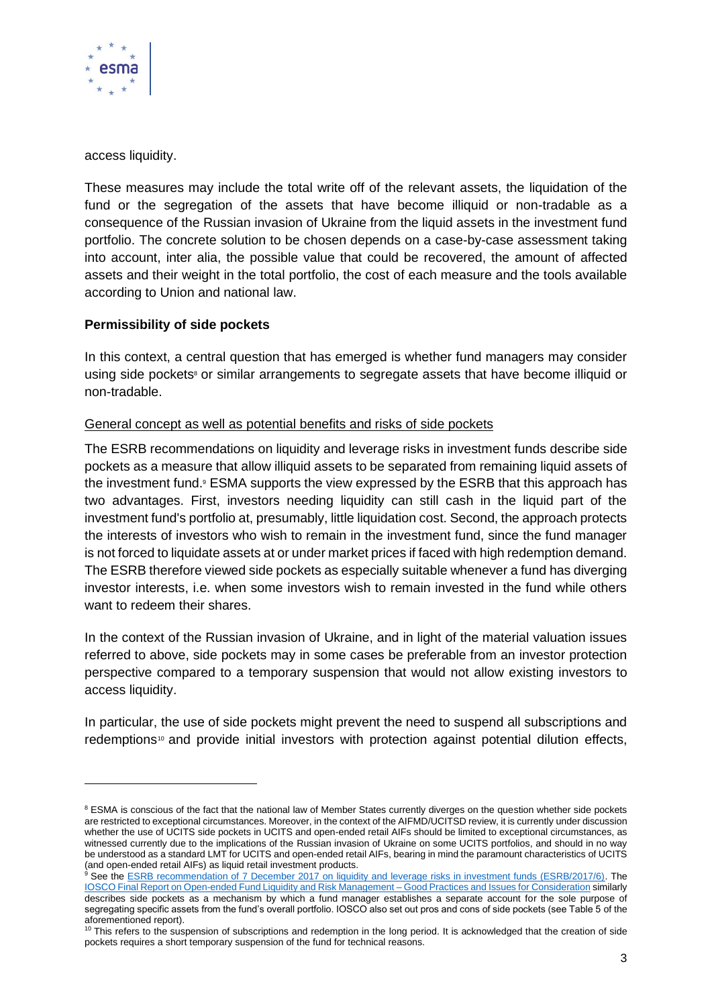

access liquidity.

These measures may include the total write off of the relevant assets, the liquidation of the fund or the segregation of the assets that have become illiquid or non-tradable as a consequence of the Russian invasion of Ukraine from the liquid assets in the investment fund portfolio. The concrete solution to be chosen depends on a case-by-case assessment taking into account, inter alia, the possible value that could be recovered, the amount of affected assets and their weight in the total portfolio, the cost of each measure and the tools available according to Union and national law.

#### **Permissibility of side pockets**

In this context, a central question that has emerged is whether fund managers may consider using side pockets<sup>8</sup> or similar arrangements to segregate assets that have become illiquid or non-tradable.

## General concept as well as potential benefits and risks of side pockets

The ESRB recommendations on liquidity and leverage risks in investment funds describe side pockets as a measure that allow illiquid assets to be separated from remaining liquid assets of the investment fund.<sup>9</sup> ESMA supports the view expressed by the ESRB that this approach has two advantages. First, investors needing liquidity can still cash in the liquid part of the investment fund's portfolio at, presumably, little liquidation cost. Second, the approach protects the interests of investors who wish to remain in the investment fund, since the fund manager is not forced to liquidate assets at or under market prices if faced with high redemption demand. The ESRB therefore viewed side pockets as especially suitable whenever a fund has diverging investor interests, i.e. when some investors wish to remain invested in the fund while others want to redeem their shares.

In the context of the Russian invasion of Ukraine, and in light of the material valuation issues referred to above, side pockets may in some cases be preferable from an investor protection perspective compared to a temporary suspension that would not allow existing investors to access liquidity.

In particular, the use of side pockets might prevent the need to suspend all subscriptions and redemptions<sup>10</sup> and provide initial investors with protection against potential dilution effects,

<sup>&</sup>lt;sup>8</sup> ESMA is conscious of the fact that the national law of Member States currently diverges on the question whether side pockets are restricted to exceptional circumstances. Moreover, in the context of the AIFMD/UCITSD review, it is currently under discussion whether the use of UCITS side pockets in UCITS and open-ended retail AIFs should be limited to exceptional circumstances, as witnessed currently due to the implications of the Russian invasion of Ukraine on some UCITS portfolios, and should in no way be understood as a standard LMT for UCITS and open-ended retail AIFs, bearing in mind the paramount characteristics of UCITS (and open-ended retail AIFs) as liquid retail investment products.

<sup>&</sup>lt;sup>9</sup> See the [ESRB recommendation of 7 December 2017 on liquidity and leverage risks in investment funds \(ESRB/2017/6\).](https://www.esrb.europa.eu/pub/pdf/recommendations/esrb.recommendation180214_ESRB_2017_6.en.pdf) The [IOSCO Final Report on Open-ended Fund Liquidity and Risk Management –](https://www.iosco.org/library/pubdocs/pdf/IOSCOPD591.pdf) Good Practices and Issues for Consideration similarly describes side pockets as a mechanism by which a fund manager establishes a separate account for the sole purpose of segregating specific assets from the fund's overall portfolio. IOSCO also set out pros and cons of side pockets (see Table 5 of the aforementioned report).

<sup>&</sup>lt;sup>10</sup> This refers to the suspension of subscriptions and redemption in the long period. It is acknowledged that the creation of side pockets requires a short temporary suspension of the fund for technical reasons.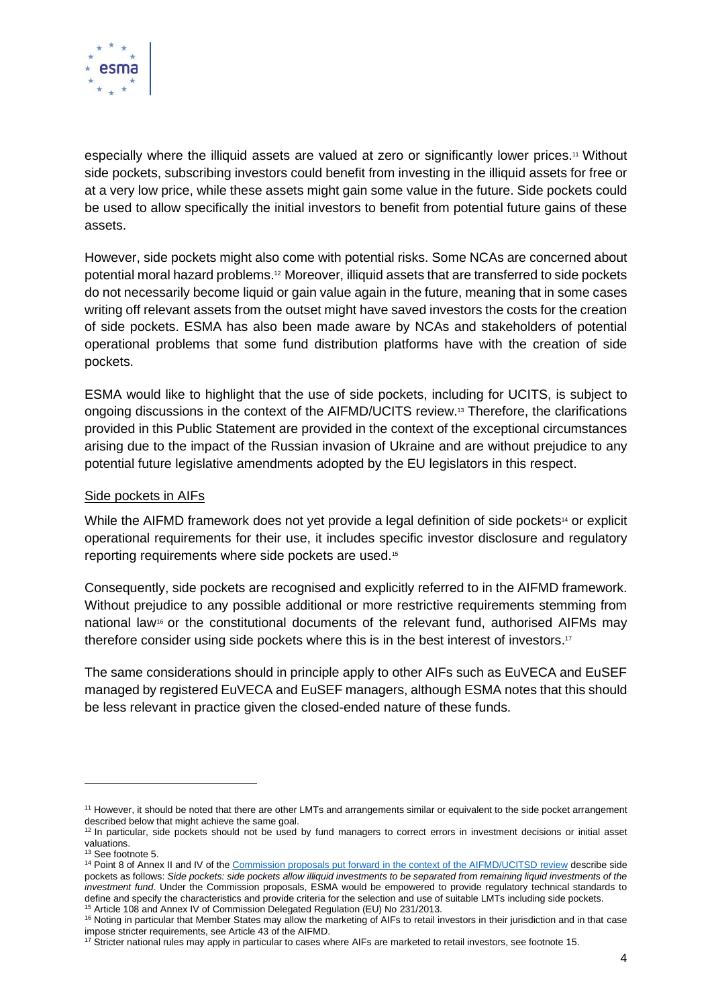

especially where the illiquid assets are valued at zero or significantly lower prices.<sup>11</sup> Without side pockets, subscribing investors could benefit from investing in the illiquid assets for free or at a very low price, while these assets might gain some value in the future. Side pockets could be used to allow specifically the initial investors to benefit from potential future gains of these assets.

However, side pockets might also come with potential risks. Some NCAs are concerned about potential moral hazard problems.<sup>12</sup> Moreover, illiquid assets that are transferred to side pockets do not necessarily become liquid or gain value again in the future, meaning that in some cases writing off relevant assets from the outset might have saved investors the costs for the creation of side pockets. ESMA has also been made aware by NCAs and stakeholders of potential operational problems that some fund distribution platforms have with the creation of side pockets.

ESMA would like to highlight that the use of side pockets, including for UCITS, is subject to ongoing discussions in the context of the AIFMD/UCITS review.<sup>13</sup> Therefore, the clarifications provided in this Public Statement are provided in the context of the exceptional circumstances arising due to the impact of the Russian invasion of Ukraine and are without prejudice to any potential future legislative amendments adopted by the EU legislators in this respect.

#### Side pockets in AIFs

While the AIFMD framework does not yet provide a legal definition of side pockets<sup>14</sup> or explicit operational requirements for their use, it includes specific investor disclosure and regulatory reporting requirements where side pockets are used.<sup>15</sup>

Consequently, side pockets are recognised and explicitly referred to in the AIFMD framework. Without prejudice to any possible additional or more restrictive requirements stemming from national law<sup>16</sup> or the constitutional documents of the relevant fund, authorised AIFMs may therefore consider using side pockets where this is in the best interest of investors.<sup>17</sup>

The same considerations should in principle apply to other AIFs such as EuVECA and EuSEF managed by registered EuVECA and EuSEF managers, although ESMA notes that this should be less relevant in practice given the closed-ended nature of these funds.

<sup>&</sup>lt;sup>11</sup> However, it should be noted that there are other LMTs and arrangements similar or equivalent to the side pocket arrangement described below that might achieve the same goal.

 $12$  In particular, side pockets should not be used by fund managers to correct errors in investment decisions or initial asset valuations.

<sup>&</sup>lt;sup>13</sup> See footnote 5.

<sup>&</sup>lt;sup>14</sup> Point 8 of Annex II and IV of th[e Commission proposals put forward in the context of the AIFMD/UCITSD review](https://ec.europa.eu/info/law/better-regulation/have-your-say/initiatives/12648-Financial-services-review-of-EU-rules-on-alternative-investment-fund-managers_en) describe side pockets as follows: *Side pockets: side pockets allow illiquid investments to be separated from remaining liquid investments of the investment fund*. Under the Commission proposals, ESMA would be empowered to provide regulatory technical standards to define and specify the characteristics and provide criteria for the selection and use of suitable LMTs including side pockets. <sup>15</sup> Article 108 and Annex IV of Commission Delegated Regulation (EU) No 231/2013.

<sup>&</sup>lt;sup>16</sup> Noting in particular that Member States may allow the marketing of AIFs to retail investors in their jurisdiction and in that case impose stricter requirements, see Article 43 of the AIFMD.

<sup>&</sup>lt;sup>17</sup> Stricter national rules may apply in particular to cases where AIFs are marketed to retail investors, see footnote 15.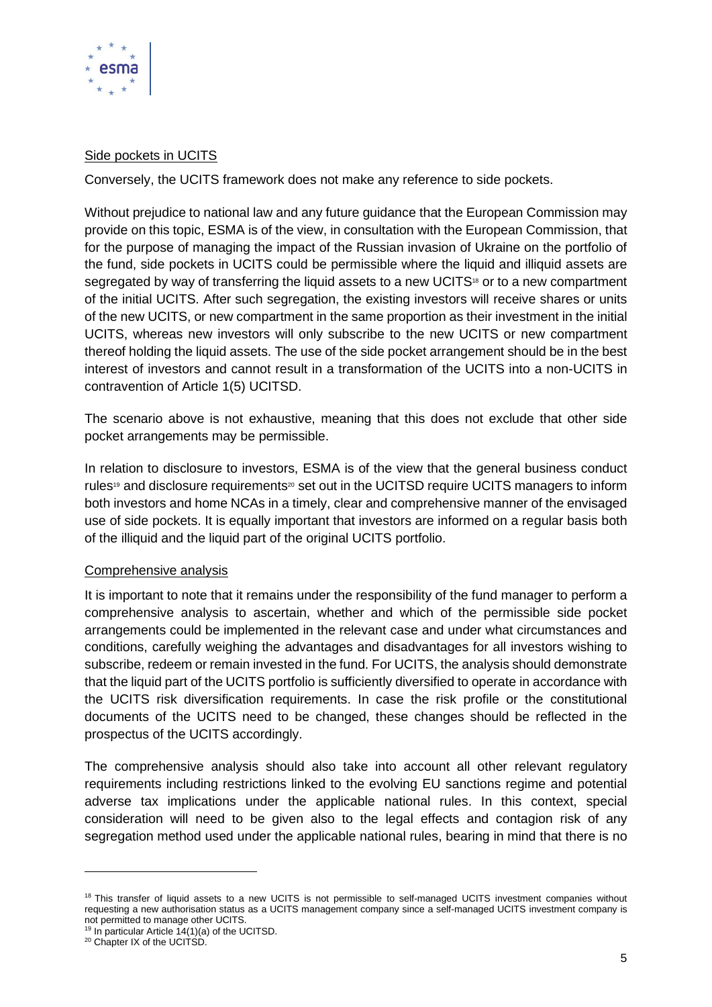

### Side pockets in UCITS

Conversely, the UCITS framework does not make any reference to side pockets.

Without prejudice to national law and any future guidance that the European Commission may provide on this topic, ESMA is of the view, in consultation with the European Commission, that for the purpose of managing the impact of the Russian invasion of Ukraine on the portfolio of the fund, side pockets in UCITS could be permissible where the liquid and illiquid assets are segregated by way of transferring the liquid assets to a new UCITS<sup>18</sup> or to a new compartment of the initial UCITS. After such segregation, the existing investors will receive shares or units of the new UCITS, or new compartment in the same proportion as their investment in the initial UCITS, whereas new investors will only subscribe to the new UCITS or new compartment thereof holding the liquid assets. The use of the side pocket arrangement should be in the best interest of investors and cannot result in a transformation of the UCITS into a non-UCITS in contravention of Article 1(5) UCITSD.

The scenario above is not exhaustive, meaning that this does not exclude that other side pocket arrangements may be permissible.

In relation to disclosure to investors, ESMA is of the view that the general business conduct rules<sup>19</sup> and disclosure requirements<sup>20</sup> set out in the UCITSD require UCITS managers to inform both investors and home NCAs in a timely, clear and comprehensive manner of the envisaged use of side pockets. It is equally important that investors are informed on a regular basis both of the illiquid and the liquid part of the original UCITS portfolio.

## Comprehensive analysis

It is important to note that it remains under the responsibility of the fund manager to perform a comprehensive analysis to ascertain, whether and which of the permissible side pocket arrangements could be implemented in the relevant case and under what circumstances and conditions, carefully weighing the advantages and disadvantages for all investors wishing to subscribe, redeem or remain invested in the fund. For UCITS, the analysis should demonstrate that the liquid part of the UCITS portfolio is sufficiently diversified to operate in accordance with the UCITS risk diversification requirements. In case the risk profile or the constitutional documents of the UCITS need to be changed, these changes should be reflected in the prospectus of the UCITS accordingly.

The comprehensive analysis should also take into account all other relevant regulatory requirements including restrictions linked to the evolving EU sanctions regime and potential adverse tax implications under the applicable national rules. In this context, special consideration will need to be given also to the legal effects and contagion risk of any segregation method used under the applicable national rules, bearing in mind that there is no

<sup>&</sup>lt;sup>18</sup> This transfer of liquid assets to a new UCITS is not permissible to self-managed UCITS investment companies without requesting a new authorisation status as a UCITS management company since a self-managed UCITS investment company is not permitted to manage other UCITS.

<sup>19</sup> In particular Article 14(1)(a) of the UCITSD.

<sup>20</sup> Chapter IX of the UCITSD.